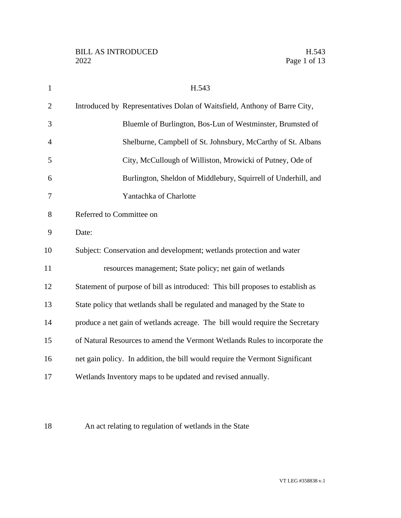| $\mathbf{1}$   | H.543                                                                          |
|----------------|--------------------------------------------------------------------------------|
| $\overline{2}$ | Introduced by Representatives Dolan of Waitsfield, Anthony of Barre City,      |
| 3              | Bluemle of Burlington, Bos-Lun of Westminster, Brumsted of                     |
| $\overline{4}$ | Shelburne, Campbell of St. Johnsbury, McCarthy of St. Albans                   |
| 5              | City, McCullough of Williston, Mrowicki of Putney, Ode of                      |
| 6              | Burlington, Sheldon of Middlebury, Squirrell of Underhill, and                 |
| $\overline{7}$ | Yantachka of Charlotte                                                         |
| 8              | Referred to Committee on                                                       |
| 9              | Date:                                                                          |
| 10             | Subject: Conservation and development; wetlands protection and water           |
| 11             | resources management; State policy; net gain of wetlands                       |
| 12             | Statement of purpose of bill as introduced: This bill proposes to establish as |
| 13             | State policy that wetlands shall be regulated and managed by the State to      |
| 14             | produce a net gain of wetlands acreage. The bill would require the Secretary   |
| 15             | of Natural Resources to amend the Vermont Wetlands Rules to incorporate the    |
| 16             | net gain policy. In addition, the bill would require the Vermont Significant   |
| 17             | Wetlands Inventory maps to be updated and revised annually.                    |
|                |                                                                                |

An act relating to regulation of wetlands in the State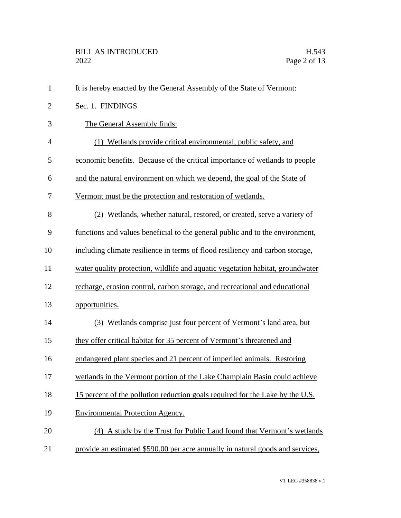| $\mathbf{1}$   | It is hereby enacted by the General Assembly of the State of Vermont:          |
|----------------|--------------------------------------------------------------------------------|
| $\overline{2}$ | Sec. 1. FINDINGS                                                               |
| 3              | The General Assembly finds:                                                    |
| $\overline{4}$ | (1) Wetlands provide critical environmental, public safety, and                |
| 5              | economic benefits. Because of the critical importance of wetlands to people    |
| 6              | and the natural environment on which we depend, the goal of the State of       |
| 7              | Vermont must be the protection and restoration of wetlands.                    |
| 8              | (2) Wetlands, whether natural, restored, or created, serve a variety of        |
| 9              | functions and values beneficial to the general public and to the environment,  |
| 10             | including climate resilience in terms of flood resiliency and carbon storage,  |
| 11             | water quality protection, wildlife and aquatic vegetation habitat, groundwater |
| 12             | recharge, erosion control, carbon storage, and recreational and educational    |
| 13             | opportunities.                                                                 |
| 14             | (3) Wetlands comprise just four percent of Vermont's land area, but            |
| 15             | they offer critical habitat for 35 percent of Vermont's threatened and         |
| 16             | endangered plant species and 21 percent of imperiled animals. Restoring        |
| 17             | wetlands in the Vermont portion of the Lake Champlain Basin could achieve      |
| 18             | 15 percent of the pollution reduction goals required for the Lake by the U.S.  |
| 19             | <b>Environmental Protection Agency.</b>                                        |
| 20             | (4) A study by the Trust for Public Land found that Vermont's wetlands         |
| 21             | provide an estimated \$590.00 per acre annually in natural goods and services, |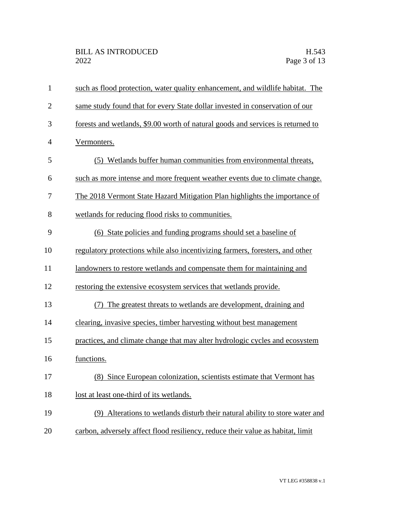| $\mathbf{1}$   | such as flood protection, water quality enhancement, and wildlife habitat. The  |
|----------------|---------------------------------------------------------------------------------|
| $\overline{2}$ | same study found that for every State dollar invested in conservation of our    |
| 3              | forests and wetlands, \$9.00 worth of natural goods and services is returned to |
| $\overline{4}$ | Vermonters.                                                                     |
| 5              | (5) Wetlands buffer human communities from environmental threats,               |
| 6              | such as more intense and more frequent weather events due to climate change.    |
| 7              | The 2018 Vermont State Hazard Mitigation Plan highlights the importance of      |
| 8              | wetlands for reducing flood risks to communities.                               |
| 9              | (6) State policies and funding programs should set a baseline of                |
| 10             | regulatory protections while also incentivizing farmers, foresters, and other   |
| 11             | landowners to restore wetlands and compensate them for maintaining and          |
| 12             | restoring the extensive ecosystem services that wetlands provide.               |
| 13             | The greatest threats to wetlands are development, draining and<br>(7)           |
| 14             | clearing, invasive species, timber harvesting without best management           |
| 15             | practices, and climate change that may alter hydrologic cycles and ecosystem    |
| 16             | functions.                                                                      |
| 17             | (8) Since European colonization, scientists estimate that Vermont has           |
| 18             | lost at least one-third of its wetlands.                                        |
| 19             | (9) Alterations to wetlands disturb their natural ability to store water and    |
| 20             | carbon, adversely affect flood resiliency, reduce their value as habitat, limit |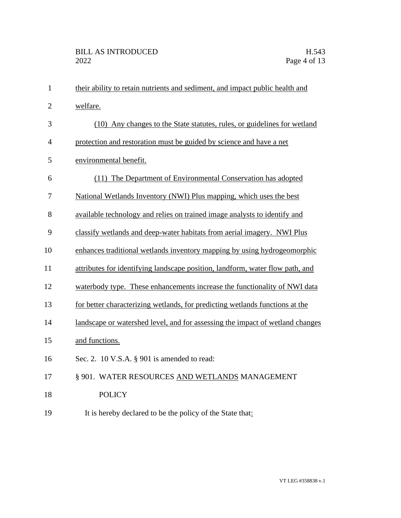| $\mathbf{1}$   | their ability to retain nutrients and sediment, and impact public health and  |
|----------------|-------------------------------------------------------------------------------|
| $\overline{2}$ | welfare.                                                                      |
| 3              | (10) Any changes to the State statutes, rules, or guidelines for wetland      |
| $\overline{4}$ | protection and restoration must be guided by science and have a net           |
| 5              | environmental benefit.                                                        |
| 6              | (11) The Department of Environmental Conservation has adopted                 |
| $\overline{7}$ | National Wetlands Inventory (NWI) Plus mapping, which uses the best           |
| 8              | available technology and relies on trained image analysts to identify and     |
| 9              | classify wetlands and deep-water habitats from aerial imagery. NWI Plus       |
| 10             | enhances traditional wetlands inventory mapping by using hydrogeomorphic      |
| 11             | attributes for identifying landscape position, landform, water flow path, and |
| 12             | waterbody type. These enhancements increase the functionality of NWI data     |
| 13             | for better characterizing wetlands, for predicting wetlands functions at the  |
| 14             | landscape or watershed level, and for assessing the impact of wetland changes |
| 15             | and functions.                                                                |
| 16             | Sec. 2. 10 V.S.A. $\S$ 901 is amended to read:                                |
| 17             | § 901. WATER RESOURCES AND WETLANDS MANAGEMENT                                |
| 18             | <b>POLICY</b>                                                                 |
| 19             | It is hereby declared to be the policy of the State that:                     |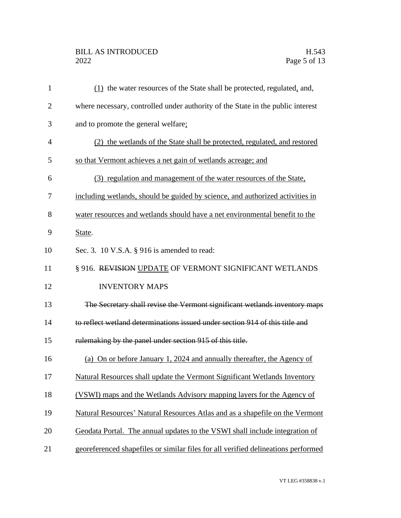## BILL AS INTRODUCED H.543<br>2022 Page 5 of 13

| $\mathbf{1}$   | (1) the water resources of the State shall be protected, regulated, and,          |
|----------------|-----------------------------------------------------------------------------------|
| $\overline{2}$ | where necessary, controlled under authority of the State in the public interest   |
| 3              | and to promote the general welfare;                                               |
| 4              | (2) the wetlands of the State shall be protected, regulated, and restored         |
| 5              | so that Vermont achieves a net gain of wetlands acreage; and                      |
| 6              | (3) regulation and management of the water resources of the State,                |
| 7              | including wetlands, should be guided by science, and authorized activities in     |
| 8              | water resources and wetlands should have a net environmental benefit to the       |
| 9              | State.                                                                            |
| 10             | Sec. 3. 10 V.S.A. § 916 is amended to read:                                       |
| 11             | § 916. REVISION UPDATE OF VERMONT SIGNIFICANT WETLANDS                            |
| 12             | <b>INVENTORY MAPS</b>                                                             |
| 13             | The Secretary shall revise the Vermont significant wetlands inventory maps        |
| 14             | to reflect wetland determinations issued under section 914 of this title and      |
| 15             | rulemaking by the panel under section 915 of this title.                          |
| 16             | (a) On or before January 1, 2024 and annually thereafter, the Agency of           |
| 17             | Natural Resources shall update the Vermont Significant Wetlands Inventory         |
| 18             | (VSWI) maps and the Wetlands Advisory mapping layers for the Agency of            |
| 19             | Natural Resources' Natural Resources Atlas and as a shapefile on the Vermont      |
| 20             | Geodata Portal. The annual updates to the VSWI shall include integration of       |
| 21             | georeferenced shapefiles or similar files for all verified delineations performed |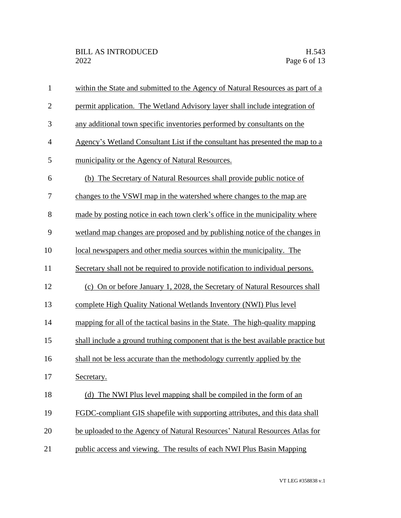| $\mathbf{1}$   | within the State and submitted to the Agency of Natural Resources as part of a    |
|----------------|-----------------------------------------------------------------------------------|
| $\overline{2}$ | permit application. The Wetland Advisory layer shall include integration of       |
| 3              | any additional town specific inventories performed by consultants on the          |
| $\overline{4}$ | Agency's Wetland Consultant List if the consultant has presented the map to a     |
| 5              | municipality or the Agency of Natural Resources.                                  |
| 6              | (b) The Secretary of Natural Resources shall provide public notice of             |
| 7              | changes to the VSWI map in the watershed where changes to the map are             |
| 8              | made by posting notice in each town clerk's office in the municipality where      |
| 9              | wetland map changes are proposed and by publishing notice of the changes in       |
| 10             | local newspapers and other media sources within the municipality. The             |
| 11             | Secretary shall not be required to provide notification to individual persons.    |
| 12             | (c) On or before January 1, 2028, the Secretary of Natural Resources shall        |
| 13             | complete High Quality National Wetlands Inventory (NWI) Plus level                |
| 14             | mapping for all of the tactical basins in the State. The high-quality mapping     |
| 15             | shall include a ground truthing component that is the best available practice but |
| 16             | shall not be less accurate than the methodology currently applied by the          |
| 17             | Secretary.                                                                        |
| 18             | (d) The NWI Plus level mapping shall be compiled in the form of an                |
| 19             | FGDC-compliant GIS shapefile with supporting attributes, and this data shall      |
| 20             | be uploaded to the Agency of Natural Resources' Natural Resources Atlas for       |
| 21             | public access and viewing. The results of each NWI Plus Basin Mapping             |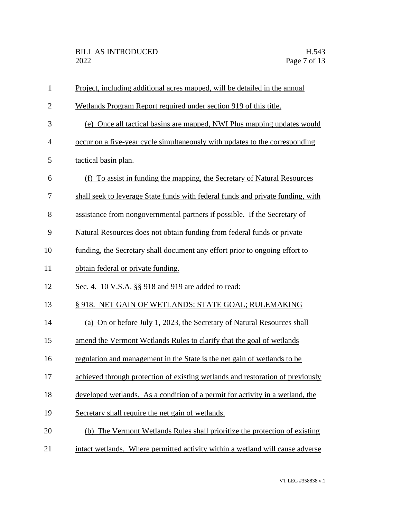| $\mathbf{1}$   | Project, including additional acres mapped, will be detailed in the annual      |
|----------------|---------------------------------------------------------------------------------|
| $\mathfrak{2}$ | Wetlands Program Report required under section 919 of this title.               |
| 3              | (e) Once all tactical basins are mapped, NWI Plus mapping updates would         |
| $\overline{4}$ | occur on a five-year cycle simultaneously with updates to the corresponding     |
| 5              | tactical basin plan.                                                            |
| 6              | (f) To assist in funding the mapping, the Secretary of Natural Resources        |
| 7              | shall seek to leverage State funds with federal funds and private funding, with |
| 8              | assistance from nongovernmental partners if possible. If the Secretary of       |
| 9              | Natural Resources does not obtain funding from federal funds or private         |
| 10             | funding, the Secretary shall document any effort prior to ongoing effort to     |
| 11             | obtain federal or private funding.                                              |
| 12             | Sec. 4. 10 V.S.A. §§ 918 and 919 are added to read:                             |
| 13             | § 918. NET GAIN OF WETLANDS; STATE GOAL; RULEMAKING                             |
| 14             | (a) On or before July 1, 2023, the Secretary of Natural Resources shall         |
| 15             | amend the Vermont Wetlands Rules to clarify that the goal of wetlands           |
| 16             | regulation and management in the State is the net gain of wetlands to be        |
| 17             | achieved through protection of existing wetlands and restoration of previously  |
| 18             | developed wetlands. As a condition of a permit for activity in a wetland, the   |
| 19             | Secretary shall require the net gain of wetlands.                               |
| 20             | (b) The Vermont Wetlands Rules shall prioritize the protection of existing      |
| 21             | intact wetlands. Where permitted activity within a wetland will cause adverse   |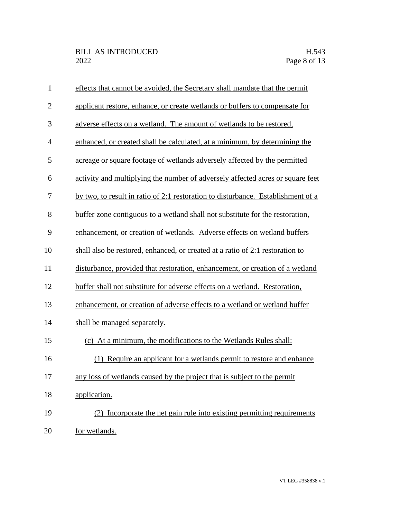| $\mathbf{1}$   | effects that cannot be avoided, the Secretary shall mandate that the permit      |
|----------------|----------------------------------------------------------------------------------|
| $\overline{2}$ | applicant restore, enhance, or create wetlands or buffers to compensate for      |
| 3              | adverse effects on a wetland. The amount of wetlands to be restored,             |
| $\overline{4}$ | enhanced, or created shall be calculated, at a minimum, by determining the       |
| 5              | acreage or square footage of wetlands adversely affected by the permitted        |
| 6              | activity and multiplying the number of adversely affected acres or square feet   |
| 7              | by two, to result in ratio of 2:1 restoration to disturbance. Establishment of a |
| 8              | buffer zone contiguous to a wetland shall not substitute for the restoration,    |
| 9              | enhancement, or creation of wetlands. Adverse effects on wetland buffers         |
| 10             | shall also be restored, enhanced, or created at a ratio of 2:1 restoration to    |
| 11             | disturbance, provided that restoration, enhancement, or creation of a wetland    |
| 12             | buffer shall not substitute for adverse effects on a wetland. Restoration,       |
| 13             | enhancement, or creation of adverse effects to a wetland or wetland buffer       |
| 14             | shall be managed separately.                                                     |
| 15             | (c) At a minimum, the modifications to the Wetlands Rules shall:                 |
| 16             | (1) Require an applicant for a wetlands permit to restore and enhance            |
| 17             | any loss of wetlands caused by the project that is subject to the permit         |
| 18             | application.                                                                     |
| 19             | (2) Incorporate the net gain rule into existing permitting requirements          |
| 20             | for wetlands.                                                                    |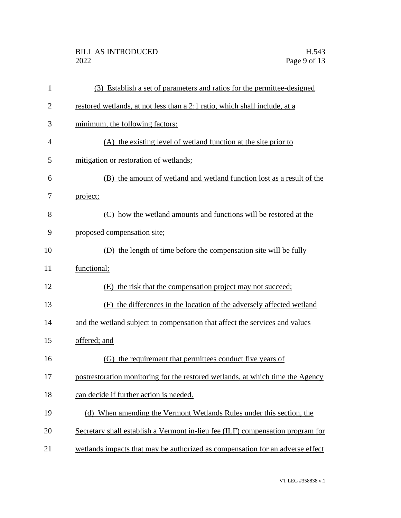| $\mathbf{1}$   | (3) Establish a set of parameters and ratios for the permittee-designed        |
|----------------|--------------------------------------------------------------------------------|
| $\overline{2}$ | restored wetlands, at not less than a 2:1 ratio, which shall include, at a     |
| 3              | minimum, the following factors:                                                |
| $\overline{4}$ | (A) the existing level of wetland function at the site prior to                |
| 5              | mitigation or restoration of wetlands;                                         |
| 6              | (B) the amount of wetland and wetland function lost as a result of the         |
| 7              | project;                                                                       |
| 8              | (C) how the wetland amounts and functions will be restored at the              |
| 9              | proposed compensation site;                                                    |
| 10             | (D) the length of time before the compensation site will be fully              |
| 11             | functional;                                                                    |
| 12             | the risk that the compensation project may not succeed;<br>(E)                 |
| 13             | the differences in the location of the adversely affected wetland<br>(F)       |
| 14             | and the wetland subject to compensation that affect the services and values    |
| 15             | offered; and                                                                   |
| 16             | (G) the requirement that permittees conduct five years of                      |
| 17             | postrestoration monitoring for the restored wetlands, at which time the Agency |
| 18             | can decide if further action is needed.                                        |
| 19             | (d) When amending the Vermont Wetlands Rules under this section, the           |
| 20             | Secretary shall establish a Vermont in-lieu fee (ILF) compensation program for |
| 21             | wetlands impacts that may be authorized as compensation for an adverse effect  |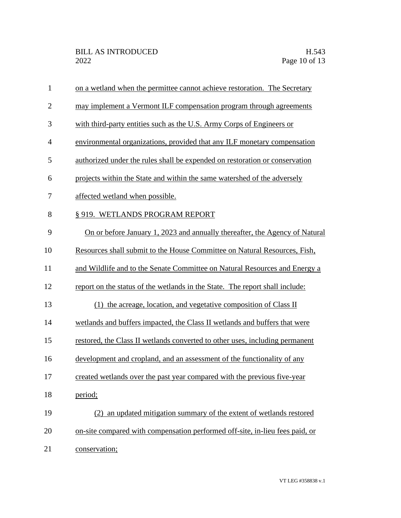| $\mathbf{1}$   | on a wetland when the permittee cannot achieve restoration. The Secretary    |
|----------------|------------------------------------------------------------------------------|
| $\overline{2}$ | may implement a Vermont ILF compensation program through agreements          |
| 3              | with third-party entities such as the U.S. Army Corps of Engineers or        |
| $\overline{4}$ | environmental organizations, provided that any ILF monetary compensation     |
| 5              | authorized under the rules shall be expended on restoration or conservation  |
| 6              | projects within the State and within the same watershed of the adversely     |
| 7              | affected wetland when possible.                                              |
| 8              | § 919. WETLANDS PROGRAM REPORT                                               |
| 9              | On or before January 1, 2023 and annually thereafter, the Agency of Natural  |
| 10             | Resources shall submit to the House Committee on Natural Resources, Fish,    |
| 11             | and Wildlife and to the Senate Committee on Natural Resources and Energy a   |
| 12             | report on the status of the wetlands in the State. The report shall include: |
| 13             | (1) the acreage, location, and vegetative composition of Class II            |
| 14             | wetlands and buffers impacted, the Class II wetlands and buffers that were   |
| 15             | restored, the Class II wetlands converted to other uses, including permanent |
| 16             | development and cropland, and an assessment of the functionality of any      |
| 17             | created wetlands over the past year compared with the previous five-year     |
| 18             | period;                                                                      |
| 19             | (2) an updated mitigation summary of the extent of wetlands restored         |
| 20             | on-site compared with compensation performed off-site, in-lieu fees paid, or |
| 21             | conservation;                                                                |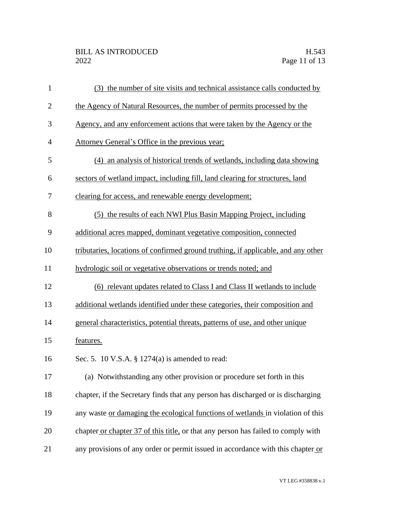| $\mathbf{1}$   | (3) the number of site visits and technical assistance calls conducted by         |
|----------------|-----------------------------------------------------------------------------------|
| $\overline{2}$ | the Agency of Natural Resources, the number of permits processed by the           |
| 3              | Agency, and any enforcement actions that were taken by the Agency or the          |
| $\overline{4}$ | Attorney General's Office in the previous year;                                   |
| 5              | (4) an analysis of historical trends of wetlands, including data showing          |
| 6              | sectors of wetland impact, including fill, land clearing for structures, land     |
| 7              | clearing for access, and renewable energy development;                            |
| 8              | (5) the results of each NWI Plus Basin Mapping Project, including                 |
| 9              | additional acres mapped, dominant vegetative composition, connected               |
| 10             | tributaries, locations of confirmed ground truthing, if applicable, and any other |
| 11             | hydrologic soil or vegetative observations or trends noted; and                   |
| 12             | (6) relevant updates related to Class I and Class II wetlands to include          |
| 13             | additional wetlands identified under these categories, their composition and      |
| 14             | general characteristics, potential threats, patterns of use, and other unique     |
| 15             | features.                                                                         |
| 16             | Sec. 5. 10 V.S.A. § 1274(a) is amended to read:                                   |
| 17             | (a) Notwithstanding any other provision or procedure set forth in this            |
| 18             | chapter, if the Secretary finds that any person has discharged or is discharging  |
| 19             | any waste or damaging the ecological functions of wetlands in violation of this   |
| 20             | chapter or chapter 37 of this title, or that any person has failed to comply with |
| 21             | any provisions of any order or permit issued in accordance with this chapter or   |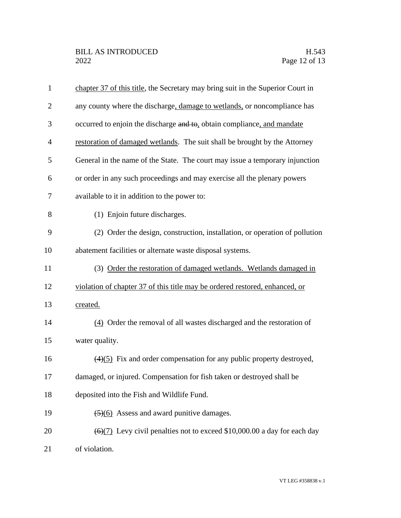| $\mathbf{1}$   | chapter 37 of this title, the Secretary may bring suit in the Superior Court in              |
|----------------|----------------------------------------------------------------------------------------------|
| $\overline{2}$ | any county where the discharge, damage to wetlands, or noncompliance has                     |
| 3              | occurred to enjoin the discharge and to, obtain compliance, and mandate                      |
| $\overline{4}$ | restoration of damaged wetlands. The suit shall be brought by the Attorney                   |
| 5              | General in the name of the State. The court may issue a temporary injunction                 |
| 6              | or order in any such proceedings and may exercise all the plenary powers                     |
| 7              | available to it in addition to the power to:                                                 |
| 8              | (1) Enjoin future discharges.                                                                |
| 9              | (2) Order the design, construction, installation, or operation of pollution                  |
| 10             | abatement facilities or alternate waste disposal systems.                                    |
| 11             | (3) Order the restoration of damaged wetlands. Wetlands damaged in                           |
| 12             | violation of chapter 37 of this title may be ordered restored, enhanced, or                  |
| 13             | created.                                                                                     |
| 14             | (4) Order the removal of all wastes discharged and the restoration of                        |
| 15             | water quality.                                                                               |
| 16             | $(4)(5)$ Fix and order compensation for any public property destroyed,                       |
| 17             | damaged, or injured. Compensation for fish taken or destroyed shall be                       |
| 18             | deposited into the Fish and Wildlife Fund.                                                   |
| 19             | $\left(\frac{5}{6}\right)$ Assess and award punitive damages.                                |
| 20             | $\left(\frac{6}{7}\right)$ Levy civil penalties not to exceed \$10,000.00 a day for each day |
| 21             | of violation.                                                                                |